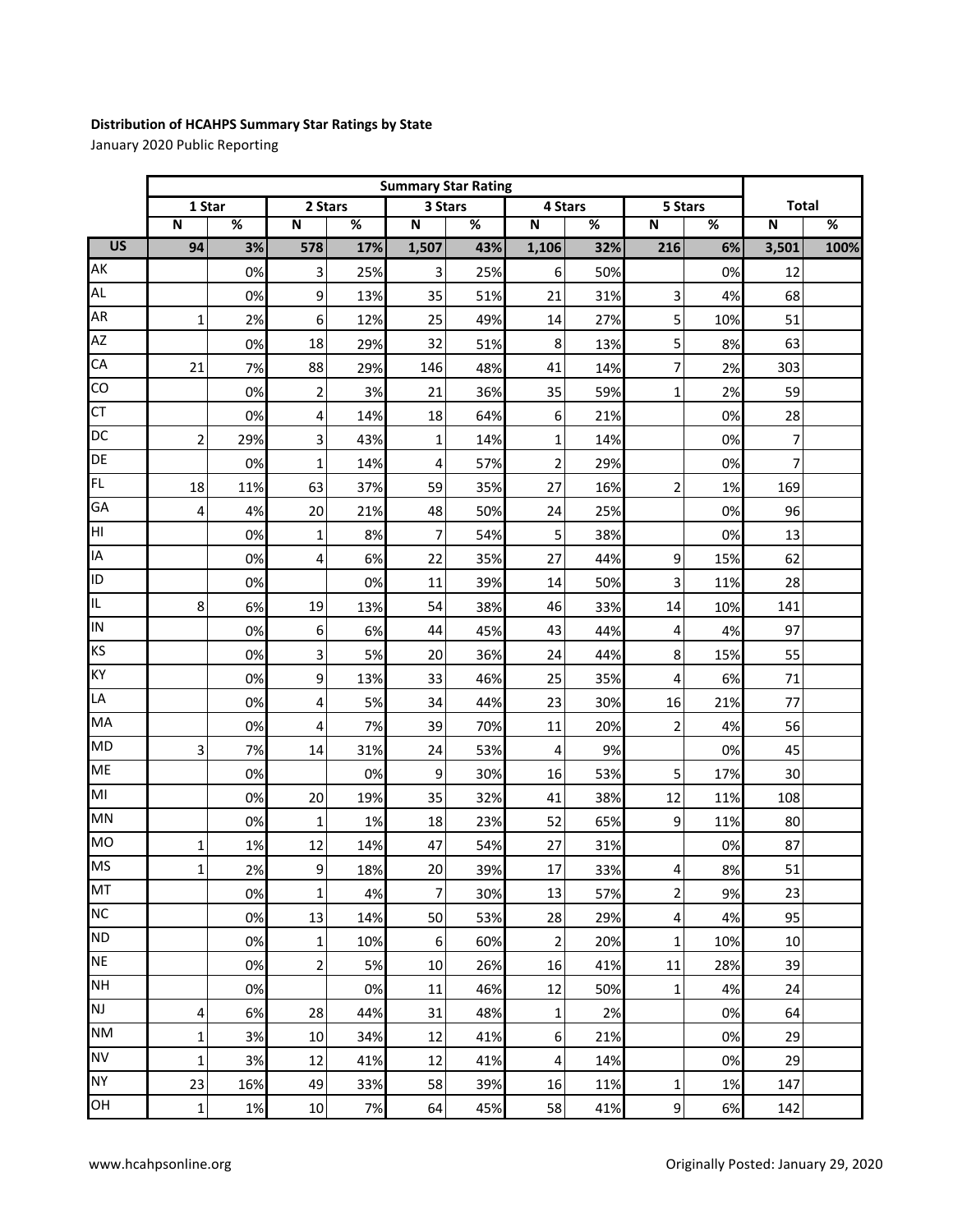## **Distribution of HCAHPS Summary Star Ratings by State**

January 2020 Public Reporting

|                 | <b>Summary Star Rating</b> |                          |                         |      |                |     |                |     |                         |      |                |      |
|-----------------|----------------------------|--------------------------|-------------------------|------|----------------|-----|----------------|-----|-------------------------|------|----------------|------|
|                 | 1 Star                     |                          | 2 Stars                 |      | 3 Stars        |     | 4 Stars        |     | 5 Stars                 |      | <b>Total</b>   |      |
|                 | ${\bf N}$                  | $\overline{\mathcal{C}}$ | $\mathbf N$             | $\%$ | $\mathsf N$    | %   | $\mathbf N$    | %   | ${\sf N}$               | $\%$ | $\mathbf N$    | $\%$ |
| $\overline{US}$ | 94                         | 3%                       | 578                     | 17%  | 1,507          | 43% | 1,106          | 32% | 216                     | 6%   | 3,501          | 100% |
| AK              |                            | 0%                       | 3                       | 25%  | 3              | 25% | 6              | 50% |                         | 0%   | 12             |      |
| <b>AL</b>       |                            | 0%                       | 9                       | 13%  | 35             | 51% | 21             | 31% | 3                       | 4%   | 68             |      |
| AR              | $\mathbf{1}$               | 2%                       | 6                       | 12%  | 25             | 49% | 14             | 27% | 5                       | 10%  | 51             |      |
| AZ              |                            | 0%                       | 18                      | 29%  | 32             | 51% | 8              | 13% | 5                       | 8%   | 63             |      |
| CA              | 21                         | 7%                       | 88                      | 29%  | 146            | 48% | 41             | 14% | 7                       | 2%   | 303            |      |
| CO              |                            | 0%                       | $\overline{\mathbf{c}}$ | 3%   | 21             | 36% | 35             | 59% | 1                       | 2%   | 59             |      |
| CT              |                            | 0%                       | 4                       | 14%  | 18             | 64% | 6              | 21% |                         | 0%   | 28             |      |
| DC              | $\overline{2}$             | 29%                      | 3                       | 43%  | $\mathbf{1}$   | 14% | $\mathbf{1}$   | 14% |                         | 0%   | 7              |      |
| DE              |                            | 0%                       | $\mathbf 1$             | 14%  | 4              | 57% | $\overline{2}$ | 29% |                         | 0%   | $\overline{7}$ |      |
| <b>FL</b>       | 18                         | 11%                      | 63                      | 37%  | 59             | 35% | 27             | 16% | $\overline{2}$          | 1%   | 169            |      |
| GA              | 4                          | 4%                       | 20                      | 21%  | 48             | 50% | 24             | 25% |                         | 0%   | 96             |      |
| HI              |                            | 0%                       | $\mathbf 1$             | 8%   | 7              | 54% | 5              | 38% |                         | 0%   | 13             |      |
| IA              |                            | 0%                       | 4                       | 6%   | 22             | 35% | 27             | 44% | 9                       | 15%  | 62             |      |
| ID              |                            | 0%                       |                         | 0%   | 11             | 39% | 14             | 50% | 3                       | 11%  | 28             |      |
| IL.             | 8                          | 6%                       | 19                      | 13%  | 54             | 38% | 46             | 33% | 14                      | 10%  | 141            |      |
| IN              |                            | 0%                       | 6                       | 6%   | 44             | 45% | 43             | 44% | 4                       | 4%   | 97             |      |
| KS              |                            | 0%                       | 3                       | 5%   | 20             | 36% | 24             | 44% | 8                       | 15%  | 55             |      |
| KY              |                            | 0%                       | 9                       | 13%  | 33             | 46% | 25             | 35% | 4                       | 6%   | 71             |      |
| LA              |                            | 0%                       | 4                       | 5%   | 34             | 44% | 23             | 30% | 16                      | 21%  | 77             |      |
| MA              |                            | 0%                       | 4                       | 7%   | 39             | 70% | 11             | 20% | $\overline{\mathbf{c}}$ | 4%   | 56             |      |
| <b>MD</b>       | 3                          | 7%                       | 14                      | 31%  | 24             | 53% | 4              | 9%  |                         | 0%   | 45             |      |
| ME              |                            | 0%                       |                         | 0%   | 9              | 30% | 16             | 53% | 5                       | 17%  | 30             |      |
| M <sub>l</sub>  |                            | 0%                       | 20                      | 19%  | 35             | 32% | 41             | 38% | 12                      | 11%  | 108            |      |
| MN              |                            | 0%                       | 1                       | 1%   | 18             | 23% | 52             | 65% | 9                       | 11%  | 80             |      |
| <b>MO</b>       | 1                          | 1%                       | 12                      | 14%  | 47             | 54% | 27             | 31% |                         | 0%   | 87             |      |
| <b>MS</b>       | 1                          | 2%                       | $\overline{9}$          | 18%  | 20             | 39% | 17             | 33% | 4                       | 8%   | 51             |      |
| MT              |                            | 0%                       | 1                       | 4%   | $\overline{7}$ | 30% | 13             | 57% | 2                       | 9%   | 23             |      |
| <b>NC</b>       |                            | 0%                       | 13                      | 14%  | 50             | 53% | 28             | 29% | 4                       | 4%   | 95             |      |
| <b>ND</b>       |                            | 0%                       | 1                       | 10%  | 6              | 60% | $\overline{2}$ | 20% | $\mathbf 1$             | 10%  | 10             |      |
| <b>NE</b>       |                            | 0%                       | $\overline{2}$          | 5%   | 10             | 26% | 16             | 41% | 11                      | 28%  | 39             |      |
| <b>NH</b>       |                            | 0%                       |                         | 0%   | 11             | 46% | 12             | 50% | 1                       | 4%   | 24             |      |
| <b>NJ</b>       | 4                          | 6%                       | 28                      | 44%  | 31             | 48% | $\mathbf 1$    | 2%  |                         | 0%   | 64             |      |
| <b>NM</b>       | 1                          | 3%                       | 10                      | 34%  | 12             | 41% | 6              | 21% |                         | 0%   | 29             |      |
| <b>NV</b>       | 1                          | 3%                       | 12                      | 41%  | 12             | 41% | 4              | 14% |                         | 0%   | 29             |      |
| <b>NY</b>       | 23                         | 16%                      | 49                      | 33%  | 58             | 39% | 16             | 11% | $\mathbf 1$             | 1%   | 147            |      |
| OH              | 1                          | 1%                       | 10                      | 7%   | 64             | 45% | 58             | 41% | 9                       | 6%   | 142            |      |